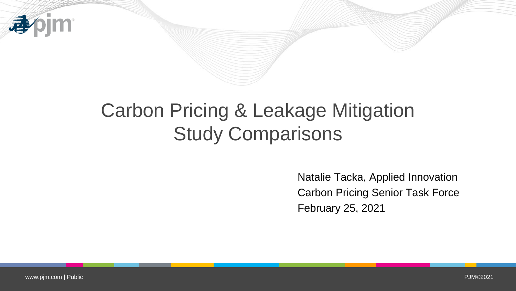

# Carbon Pricing & Leakage Mitigation Study Comparisons

Natalie Tacka, Applied Innovation Carbon Pricing Senior Task Force February 25, 2021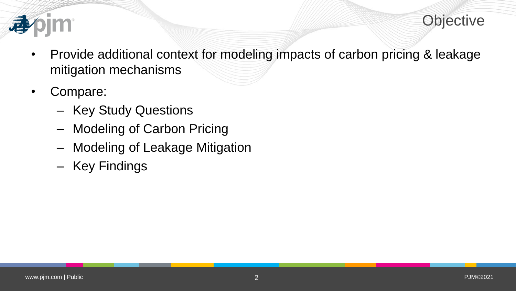

- - Provide additional context for modeling impacts of carbon pricing & leakage mitigation mechanisms
	- Compare:
		- Key Study Questions
		- Modeling of Carbon Pricing
		- Modeling of Leakage Mitigation
		- Key Findings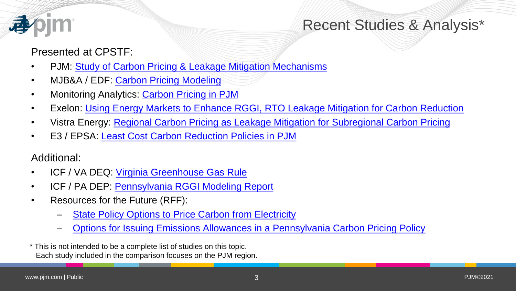

### Recent Studies & Analysis\*

#### Presented at CPSTF:

- PJM: [Study of Carbon Pricing & Leakage Mitigation Mechanisms](https://www.pjm.com/-/media/committees-groups/task-forces/cpstf/postings/carbon-study-assumptions-overview.ashx)
- MJB&A / EDF: [Carbon Pricing Modeling](https://www.pjm.com/-/media/committees-groups/task-forces/cpstf/20191024/20191024-item-06-carbon-pricing-modeling.ashx)
- Monitoring Analytics: [Carbon Pricing in PJM](https://www.pjm.com/-/media/committees-groups/task-forces/cpstf/2020/20200519/20200519-item-04c-monitoring-analytics.ashx)
- Exelon: [Using Energy Markets to Enhance RGGI, RTO Leakage Mitigation for Carbon Reduction](https://www.pjm.com/-/media/committees-groups/task-forces/cpstf/2020/20200519/20200519-item-04d-exelon-using-energy-markets-to-enhance-rggi.ashx)
- Vistra Energy: [Regional Carbon Pricing as Leakage Mitigation for Subregional](https://www.pjm.com/-/media/committees-groups/task-forces/cpstf/2020/20201027/20201027-item-03a-vistra.ashx) Carbon Pricing
- E3 / EPSA: [Least Cost Carbon Reduction Policies in PJM](https://www.pjm.com/-/media/committees-groups/task-forces/cpstf/2020/20201208/20201208-item-03a-e3-least-cost-carbon-reduction-policies-in-pjm-presentation.ashx)

Additional:

- ICF / VA DEQ: [Virginia Greenhouse Gas Rule](https://www.rggi.org/program-overview-and-design/new-participation)
- ICF / PA DEP: [Pennsylvania RGGI Modeling Report](https://files.dep.state.pa.us/Air/AirQuality/AQPortalFiles/RGGI/PA_RGGI_Modeling_Report.pdf)
- Resources for the Future (RFF):
	- [State Policy Options to Price Carbon from Electricity](https://www.rff.org/publications/reports/state-policy-options-price-carbon-electricity/)
	- [Options for Issuing Emissions Allowances in a Pennsylvania Carbon Pricing Policy](https://www.rff.org/publications/issue-briefs/options-issuing-emissions-allowances-pennsylvania-carbon-pricing-policy/)
- \* This is not intended to be a complete list of studies on this topic. Each study included in the comparison focuses on the PJM region.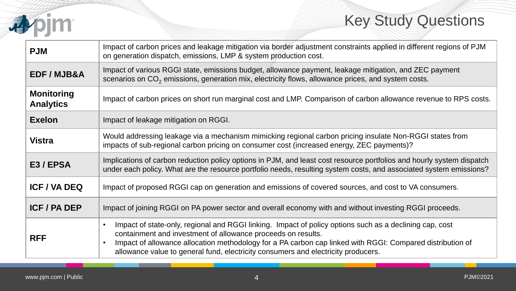

## Key Study Questions

| <b>PJM</b>                            | Impact of carbon prices and leakage mitigation via border adjustment constraints applied in different regions of PJM<br>on generation dispatch, emissions, LMP & system production cost.                                                                                                                                                                                                            |  |
|---------------------------------------|-----------------------------------------------------------------------------------------------------------------------------------------------------------------------------------------------------------------------------------------------------------------------------------------------------------------------------------------------------------------------------------------------------|--|
| EDF / MJB&A                           | Impact of various RGGI state, emissions budget, allowance payment, leakage mitigation, and ZEC payment<br>scenarios on $CO2$ emissions, generation mix, electricity flows, allowance prices, and system costs.                                                                                                                                                                                      |  |
| <b>Monitoring</b><br><b>Analytics</b> | Impact of carbon prices on short run marginal cost and LMP. Comparison of carbon allowance revenue to RPS costs.                                                                                                                                                                                                                                                                                    |  |
| <b>Exelon</b>                         | Impact of leakage mitigation on RGGI.                                                                                                                                                                                                                                                                                                                                                               |  |
| <b>Vistra</b>                         | Would addressing leakage via a mechanism mimicking regional carbon pricing insulate Non-RGGI states from<br>impacts of sub-regional carbon pricing on consumer cost (increased energy, ZEC payments)?                                                                                                                                                                                               |  |
| E3/EPSA                               | Implications of carbon reduction policy options in PJM, and least cost resource portfolios and hourly system dispatch<br>under each policy. What are the resource portfolio needs, resulting system costs, and associated system emissions?                                                                                                                                                         |  |
| <b>ICF / VA DEQ</b>                   | Impact of proposed RGGI cap on generation and emissions of covered sources, and cost to VA consumers.                                                                                                                                                                                                                                                                                               |  |
| <b>ICF / PA DEP</b>                   | Impact of joining RGGI on PA power sector and overall economy with and without investing RGGI proceeds.                                                                                                                                                                                                                                                                                             |  |
| <b>RFF</b>                            | Impact of state-only, regional and RGGI linking. Impact of policy options such as a declining cap, cost<br>$\bullet$<br>containment and investment of allowance proceeds on results.<br>Impact of allowance allocation methodology for a PA carbon cap linked with RGGI: Compared distribution of<br>$\bullet$<br>allowance value to general fund, electricity consumers and electricity producers. |  |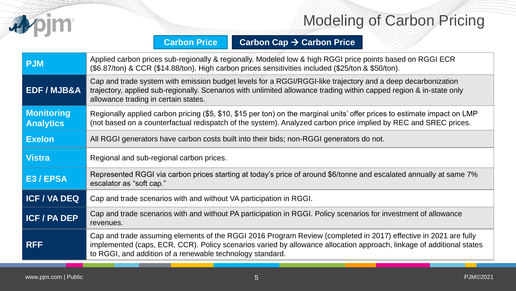

### Modeling of Carbon Pricing

#### **Carbon Price Carbon Cap Carbon Price**

| <b>PJM</b>                            | Applied carbon prices sub-regionally & regionally. Modeled low & high RGGI price points based on RGGI ECR<br>(\$6.87/ton) & CCR (\$14.88/ton). High carbon prices sensitivities included (\$25/ton & \$50/ton).                                                                                      |  |
|---------------------------------------|------------------------------------------------------------------------------------------------------------------------------------------------------------------------------------------------------------------------------------------------------------------------------------------------------|--|
| <b>EDF/MJB&amp;A</b>                  | Cap and trade system with emission budget levels for a RGGI/RGGI-like trajectory and a deep decarbonization<br>trajectory, applied sub-regionally. Scenarios with unlimited allowance trading within capped region & in-state only<br>allowance trading in certain states.                           |  |
| <b>Monitoring</b><br><b>Analytics</b> | Regionally applied carbon pricing (\$5, \$10, \$15 per ton) on the marginal units' offer prices to estimate impact on LMP<br>(not based on a counterfactual redispatch of the system). Analyzed carbon price implied by REC and SREC prices.                                                         |  |
| <b>Exelon</b>                         | All RGGI generators have carbon costs built into their bids; non-RGGI generators do not.                                                                                                                                                                                                             |  |
| <b>Vistra</b>                         | Regional and sub-regional carbon prices.                                                                                                                                                                                                                                                             |  |
| E3 / EPSA                             | Represented RGGI via carbon prices starting at today's price of around \$6/tonne and escalated annually at same 7%<br>escalator as "soft cap."                                                                                                                                                       |  |
| <b>ICF / VA DEQ</b>                   | Cap and trade scenarios with and without VA participation in RGGI.                                                                                                                                                                                                                                   |  |
| <b>ICF / PA DEP</b>                   | Cap and trade scenarios with and without PA participation in RGGI. Policy scenarios for investment of allowance<br>revenues.                                                                                                                                                                         |  |
| <b>RFF</b>                            | Cap and trade assuming elements of the RGGI 2016 Program Review (completed in 2017) effective in 2021 are fully<br>implemented (caps, ECR, CCR). Policy scenarios varied by allowance allocation approach, linkage of additional states<br>to RGGI, and addition of a renewable technology standard. |  |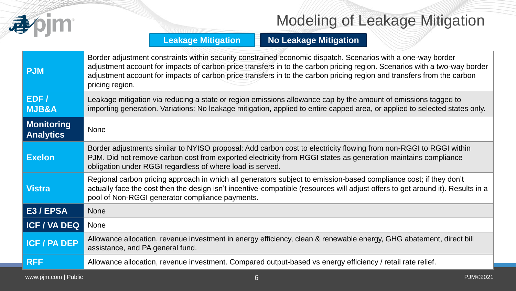

## Modeling of Leakage Mitigation

#### **Leakage Mitigation | No Leakage Mitigation**

| <b>PJM</b>                            | Border adjustment constraints within security constrained economic dispatch. Scenarios with a one-way border<br>adjustment account for impacts of carbon price transfers in to the carbon pricing region. Scenarios with a two-way border<br>adjustment account for impacts of carbon price transfers in to the carbon pricing region and transfers from the carbon<br>pricing region. |  |
|---------------------------------------|----------------------------------------------------------------------------------------------------------------------------------------------------------------------------------------------------------------------------------------------------------------------------------------------------------------------------------------------------------------------------------------|--|
| EDF/<br><b>MJB&amp;A</b>              | Leakage mitigation via reducing a state or region emissions allowance cap by the amount of emissions tagged to<br>importing generation. Variations: No leakage mitigation, applied to entire capped area, or applied to selected states only.                                                                                                                                          |  |
| <b>Monitoring</b><br><b>Analytics</b> | <b>None</b>                                                                                                                                                                                                                                                                                                                                                                            |  |
| <b>Exelon</b>                         | Border adjustments similar to NYISO proposal: Add carbon cost to electricity flowing from non-RGGI to RGGI within<br>PJM. Did not remove carbon cost from exported electricity from RGGI states as generation maintains compliance<br>obligation under RGGI regardless of where load is served.                                                                                        |  |
| <b>Vistra</b>                         | Regional carbon pricing approach in which all generators subject to emission-based compliance cost; if they don't<br>actually face the cost then the design isn't incentive-compatible (resources will adjust offers to get around it). Results in a<br>pool of Non-RGGI generator compliance payments.                                                                                |  |
| E3 / EPSA                             | <b>None</b>                                                                                                                                                                                                                                                                                                                                                                            |  |
| <b>ICF / VA DEQ</b>                   | <b>None</b>                                                                                                                                                                                                                                                                                                                                                                            |  |
| <b>ICF / PA DEP</b>                   | Allowance allocation, revenue investment in energy efficiency, clean & renewable energy, GHG abatement, direct bill<br>assistance, and PA general fund.                                                                                                                                                                                                                                |  |
| <b>RFF</b>                            | Allowance allocation, revenue investment. Compared output-based vs energy efficiency / retail rate relief.                                                                                                                                                                                                                                                                             |  |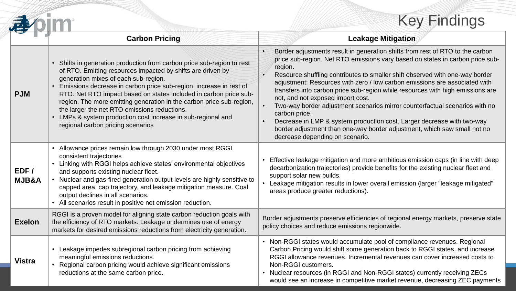## Key Findings

|                          |                                                                                                                                                                                                                                                                                                                                                                                                                                                                                                                                                     | <b>Key Findings</b>                                                                                                                                                                                                                                                                                                                                                                                                                                                                                                                                                                                                                                                                                                                                     |  |
|--------------------------|-----------------------------------------------------------------------------------------------------------------------------------------------------------------------------------------------------------------------------------------------------------------------------------------------------------------------------------------------------------------------------------------------------------------------------------------------------------------------------------------------------------------------------------------------------|---------------------------------------------------------------------------------------------------------------------------------------------------------------------------------------------------------------------------------------------------------------------------------------------------------------------------------------------------------------------------------------------------------------------------------------------------------------------------------------------------------------------------------------------------------------------------------------------------------------------------------------------------------------------------------------------------------------------------------------------------------|--|
|                          | <b>Carbon Pricing</b>                                                                                                                                                                                                                                                                                                                                                                                                                                                                                                                               | <b>Leakage Mitigation</b>                                                                                                                                                                                                                                                                                                                                                                                                                                                                                                                                                                                                                                                                                                                               |  |
| <b>PJM</b>               | Shifts in generation production from carbon price sub-region to rest<br>of RTO. Emitting resources impacted by shifts are driven by<br>generation mixes of each sub-region.<br>Emissions decrease in carbon price sub-region, increase in rest of<br>RTO. Net RTO impact based on states included in carbon price sub-<br>region. The more emitting generation in the carbon price sub-region,<br>the larger the net RTO emissions reductions.<br>• LMPs & system production cost increase in sub-regional and<br>regional carbon pricing scenarios | Border adjustments result in generation shifts from rest of RTO to the carbon<br>price sub-region. Net RTO emissions vary based on states in carbon price sub-<br>region.<br>Resource shuffling contributes to smaller shift observed with one-way border<br>adjustment: Resources with zero / low carbon emissions are associated with<br>transfers into carbon price sub-region while resources with high emissions are<br>not, and not exposed import cost.<br>Two-way border adjustment scenarios mirror counterfactual scenarios with no<br>carbon price.<br>Decrease in LMP & system production cost. Larger decrease with two-way<br>border adjustment than one-way border adjustment, which saw small not no<br>decrease depending on scenario. |  |
| EDF/<br><b>MJB&amp;A</b> | • Allowance prices remain low through 2030 under most RGGI<br>consistent trajectories<br>• Linking with RGGI helps achieve states' environmental objectives<br>and supports existing nuclear fleet.<br>• Nuclear and gas-fired generation output levels are highly sensitive to<br>capped area, cap trajectory, and leakage mitigation measure. Coal<br>output declines in all scenarios.<br>• All scenarios result in positive net emission reduction.                                                                                             | Effective leakage mitigation and more ambitious emission caps (in line with deep<br>decarbonization trajectories) provide benefits for the existing nuclear fleet and<br>support solar new builds.<br>• Leakage mitigation results in lower overall emission (larger "leakage mitigated"<br>areas produce greater reductions).                                                                                                                                                                                                                                                                                                                                                                                                                          |  |
| <b>Exelon</b>            | RGGI is a proven model for aligning state carbon reduction goals with<br>the efficiency of RTO markets. Leakage undermines use of energy<br>markets for desired emissions reductions from electricity generation.                                                                                                                                                                                                                                                                                                                                   | Border adjustments preserve efficiencies of regional energy markets, preserve state<br>policy choices and reduce emissions regionwide.                                                                                                                                                                                                                                                                                                                                                                                                                                                                                                                                                                                                                  |  |
| <b>Vistra</b>            | Leakage impedes subregional carbon pricing from achieving<br>meaningful emissions reductions.<br>Regional carbon pricing would achieve significant emissions<br>reductions at the same carbon price.                                                                                                                                                                                                                                                                                                                                                | • Non-RGGI states would accumulate pool of compliance revenues. Regional<br>Carbon Pricing would shift some generation back to RGGI states, and increase<br>RGGI allowance revenues. Incremental revenues can cover increased costs to<br>Non-RGGI customers.<br>• Nuclear resources (in RGGI and Non-RGGI states) currently receiving ZECs<br>would see an increase in competitive market revenue, decreasing ZEC payments                                                                                                                                                                                                                                                                                                                             |  |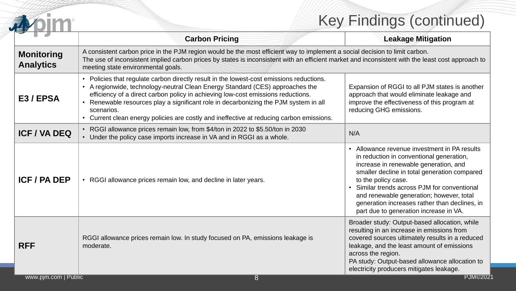## Key Findings (continued)

|                                       | <b>Key Findings (continued)</b>                                                                                                                                                                                                                                                                                                                                                                                                                                 |                                                                                                                                                                                                                                                                                                                                                                                               |  |
|---------------------------------------|-----------------------------------------------------------------------------------------------------------------------------------------------------------------------------------------------------------------------------------------------------------------------------------------------------------------------------------------------------------------------------------------------------------------------------------------------------------------|-----------------------------------------------------------------------------------------------------------------------------------------------------------------------------------------------------------------------------------------------------------------------------------------------------------------------------------------------------------------------------------------------|--|
|                                       | <b>Carbon Pricing</b>                                                                                                                                                                                                                                                                                                                                                                                                                                           | <b>Leakage Mitigation</b>                                                                                                                                                                                                                                                                                                                                                                     |  |
| <b>Monitoring</b><br><b>Analytics</b> | A consistent carbon price in the PJM region would be the most efficient way to implement a social decision to limit carbon.<br>The use of inconsistent implied carbon prices by states is inconsistent with an efficient market and inconsistent with the least cost approach to<br>meeting state environmental goals.                                                                                                                                          |                                                                                                                                                                                                                                                                                                                                                                                               |  |
| E3/EPSA                               | • Policies that regulate carbon directly result in the lowest-cost emissions reductions.<br>• A regionwide, technology-neutral Clean Energy Standard (CES) approaches the<br>efficiency of a direct carbon policy in achieving low-cost emissions reductions.<br>• Renewable resources play a significant role in decarbonizing the PJM system in all<br>scenarios.<br>• Current clean energy policies are costly and ineffective at reducing carbon emissions. | Expansion of RGGI to all PJM states is another<br>approach that would eliminate leakage and<br>improve the effectiveness of this program at<br>reducing GHG emissions.                                                                                                                                                                                                                        |  |
| <b>ICF / VA DEQ</b>                   | • RGGI allowance prices remain low, from \$4/ton in 2022 to \$5.50/ton in 2030<br>N/A<br>• Under the policy case imports increase in VA and in RGGI as a whole.                                                                                                                                                                                                                                                                                                 |                                                                                                                                                                                                                                                                                                                                                                                               |  |
| <b>ICF / PA DEP</b>                   | • RGGI allowance prices remain low, and decline in later years.                                                                                                                                                                                                                                                                                                                                                                                                 | • Allowance revenue investment in PA results<br>in reduction in conventional generation,<br>increase in renewable generation, and<br>smaller decline in total generation compared<br>to the policy case.<br>Similar trends across PJM for conventional<br>and renewable generation; however, total<br>generation increases rather than declines, in<br>part due to generation increase in VA. |  |
| <b>RFF</b>                            | RGGI allowance prices remain low. In study focused on PA, emissions leakage is<br>moderate.                                                                                                                                                                                                                                                                                                                                                                     | Broader study: Output-based allocation, while<br>resulting in an increase in emissions from<br>covered sources ultimately results in a reduced<br>leakage, and the least amount of emissions<br>across the region.<br>PA study: Output-based allowance allocation to<br>electricity producers mitigates leakage.                                                                              |  |